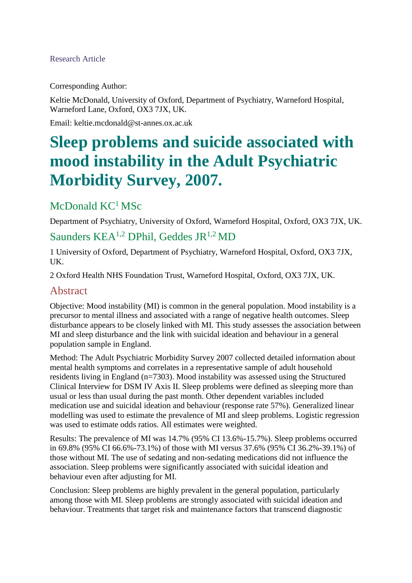#### Research Article

Corresponding Author:

Keltie McDonald, University of Oxford, Department of Psychiatry, Warneford Hospital, Warneford Lane, Oxford, OX3 7JX, UK.

Email: keltie.mcdonald@st-annes.ox.ac.uk

# **Sleep problems and suicide associated with mood instability in the Adult Psychiatric Morbidity Survey, 2007.**

### McDonald KC<sup>1</sup> MSc

Department of Psychiatry, University of Oxford, Warneford Hospital, Oxford, OX3 7JX, UK.

### Saunders  $KEA^{1,2}$  DPhil, Geddes JR<sup>1,2</sup> MD

1 University of Oxford, Department of Psychiatry, Warneford Hospital, Oxford, OX3 7JX, UK.

2 Oxford Health NHS Foundation Trust, Warneford Hospital, Oxford, OX3 7JX, UK.

#### Abstract

Objective: Mood instability (MI) is common in the general population. Mood instability is a precursor to mental illness and associated with a range of negative health outcomes. Sleep disturbance appears to be closely linked with MI. This study assesses the association between MI and sleep disturbance and the link with suicidal ideation and behaviour in a general population sample in England.

Method: The Adult Psychiatric Morbidity Survey 2007 collected detailed information about mental health symptoms and correlates in a representative sample of adult household residents living in England (n=7303). Mood instability was assessed using the Structured Clinical Interview for DSM IV Axis II. Sleep problems were defined as sleeping more than usual or less than usual during the past month. Other dependent variables included medication use and suicidal ideation and behaviour (response rate 57%). Generalized linear modelling was used to estimate the prevalence of MI and sleep problems. Logistic regression was used to estimate odds ratios. All estimates were weighted.

Results: The prevalence of MI was 14.7% (95% CI 13.6%-15.7%). Sleep problems occurred in 69.8% (95% CI 66.6%-73.1%) of those with MI versus 37.6% (95% CI 36.2%-39.1%) of those without MI. The use of sedating and non-sedating medications did not influence the association. Sleep problems were significantly associated with suicidal ideation and behaviour even after adjusting for MI.

Conclusion: Sleep problems are highly prevalent in the general population, particularly among those with MI. Sleep problems are strongly associated with suicidal ideation and behaviour. Treatments that target risk and maintenance factors that transcend diagnostic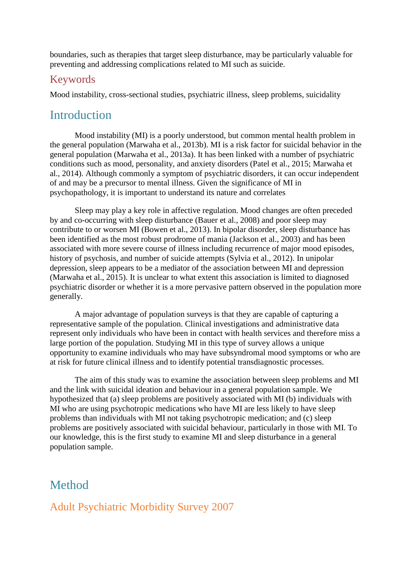boundaries, such as therapies that target sleep disturbance, may be particularly valuable for preventing and addressing complications related to MI such as suicide.

#### Keywords

Mood instability, cross-sectional studies, psychiatric illness, sleep problems, suicidality

## **Introduction**

Mood instability (MI) is a poorly understood, but common mental health problem in the general population (Marwaha et al., 2013b). MI is a risk factor for suicidal behavior in the general population (Marwaha et al., 2013a). It has been linked with a number of psychiatric conditions such as mood, personality, and anxiety disorders (Patel et al., 2015; Marwaha et al., 2014). Although commonly a symptom of psychiatric disorders, it can occur independent of and may be a precursor to mental illness. Given the significance of MI in psychopathology, it is important to understand its nature and correlates

Sleep may play a key role in affective regulation. Mood changes are often preceded by and co-occurring with sleep disturbance (Bauer et al., 2008) and poor sleep may contribute to or worsen MI (Bowen et al., 2013). In bipolar disorder, sleep disturbance has been identified as the most robust prodrome of mania (Jackson et al., 2003) and has been associated with more severe course of illness including recurrence of major mood episodes, history of psychosis, and number of suicide attempts (Sylvia et al., 2012). In unipolar depression, sleep appears to be a mediator of the association between MI and depression (Marwaha et al., 2015). It is unclear to what extent this association is limited to diagnosed psychiatric disorder or whether it is a more pervasive pattern observed in the population more generally.

A major advantage of population surveys is that they are capable of capturing a representative sample of the population. Clinical investigations and administrative data represent only individuals who have been in contact with health services and therefore miss a large portion of the population. Studying MI in this type of survey allows a unique opportunity to examine individuals who may have subsyndromal mood symptoms or who are at risk for future clinical illness and to identify potential transdiagnostic processes.

The aim of this study was to examine the association between sleep problems and MI and the link with suicidal ideation and behaviour in a general population sample. We hypothesized that (a) sleep problems are positively associated with MI (b) individuals with MI who are using psychotropic medications who have MI are less likely to have sleep problems than individuals with MI not taking psychotropic medication; and (c) sleep problems are positively associated with suicidal behaviour, particularly in those with MI. To our knowledge, this is the first study to examine MI and sleep disturbance in a general population sample.

### Method

### Adult Psychiatric Morbidity Survey 2007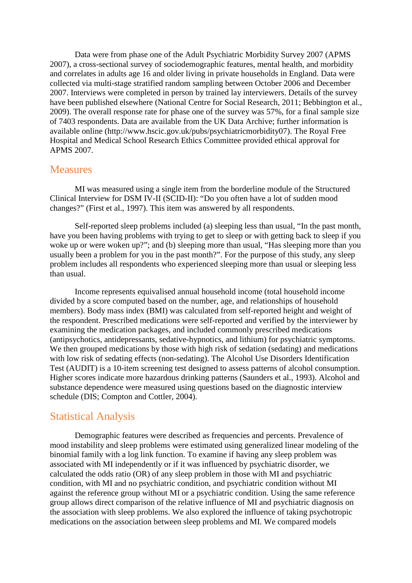Data were from phase one of the Adult Psychiatric Morbidity Survey 2007 (APMS 2007), a cross-sectional survey of sociodemographic features, mental health, and morbidity and correlates in adults age 16 and older living in private households in England. Data were collected via multi-stage stratified random sampling between October 2006 and December 2007. Interviews were completed in person by trained lay interviewers. Details of the survey have been published elsewhere (National Centre for Social Research, 2011; Bebbington et al., 2009). The overall response rate for phase one of the survey was 57%, for a final sample size of 7403 respondents. Data are available from the UK Data Archive; further information is available online (http://www.hscic.gov.uk/pubs/psychiatricmorbidity07). The Royal Free Hospital and Medical School Research Ethics Committee provided ethical approval for APMS 2007.

#### **Measures**

MI was measured using a single item from the borderline module of the Structured Clinical Interview for DSM IV-II (SCID-II): "Do you often have a lot of sudden mood changes?" (First et al., 1997). This item was answered by all respondents.

Self-reported sleep problems included (a) sleeping less than usual, "In the past month, have you been having problems with trying to get to sleep or with getting back to sleep if you woke up or were woken up?"; and (b) sleeping more than usual, "Has sleeping more than you usually been a problem for you in the past month?". For the purpose of this study, any sleep problem includes all respondents who experienced sleeping more than usual or sleeping less than usual.

Income represents equivalised annual household income (total household income divided by a score computed based on the number, age, and relationships of household members). Body mass index (BMI) was calculated from self-reported height and weight of the respondent. Prescribed medications were self-reported and verified by the interviewer by examining the medication packages, and included commonly prescribed medications (antipsychotics, antidepressants, sedative-hypnotics, and lithium) for psychiatric symptoms. We then grouped medications by those with high risk of sedation (sedating) and medications with low risk of sedating effects (non-sedating). The Alcohol Use Disorders Identification Test (AUDIT) is a 10-item screening test designed to assess patterns of alcohol consumption. Higher scores indicate more hazardous drinking patterns (Saunders et al., 1993). Alcohol and substance dependence were measured using questions based on the diagnostic interview schedule (DIS; Compton and Cottler, 2004).

#### Statistical Analysis

Demographic features were described as frequencies and percents. Prevalence of mood instability and sleep problems were estimated using generalized linear modeling of the binomial family with a log link function. To examine if having any sleep problem was associated with MI independently or if it was influenced by psychiatric disorder, we calculated the odds ratio (OR) of any sleep problem in those with MI and psychiatric condition, with MI and no psychiatric condition, and psychiatric condition without MI against the reference group without MI or a psychiatric condition. Using the same reference group allows direct comparison of the relative influence of MI and psychiatric diagnosis on the association with sleep problems. We also explored the influence of taking psychotropic medications on the association between sleep problems and MI. We compared models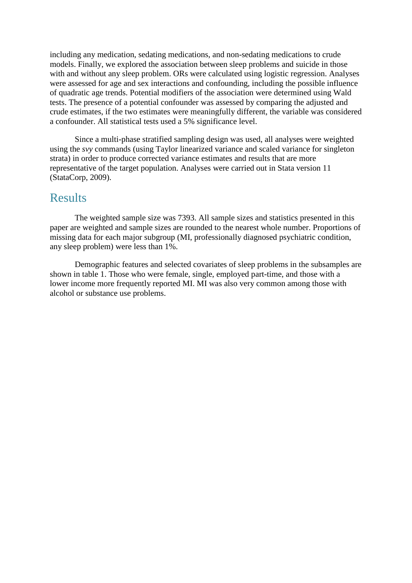including any medication, sedating medications, and non-sedating medications to crude models. Finally, we explored the association between sleep problems and suicide in those with and without any sleep problem. ORs were calculated using logistic regression. Analyses were assessed for age and sex interactions and confounding, including the possible influence of quadratic age trends. Potential modifiers of the association were determined using Wald tests. The presence of a potential confounder was assessed by comparing the adjusted and crude estimates, if the two estimates were meaningfully different, the variable was considered a confounder. All statistical tests used a 5% significance level.

Since a multi-phase stratified sampling design was used, all analyses were weighted using the *svy* commands (using Taylor linearized variance and scaled variance for singleton strata) in order to produce corrected variance estimates and results that are more representative of the target population. Analyses were carried out in Stata version 11 (StataCorp, 2009).

### Results

The weighted sample size was 7393. All sample sizes and statistics presented in this paper are weighted and sample sizes are rounded to the nearest whole number. Proportions of missing data for each major subgroup (MI, professionally diagnosed psychiatric condition, any sleep problem) were less than 1%.

Demographic features and selected covariates of sleep problems in the subsamples are shown in table 1. Those who were female, single, employed part-time, and those with a lower income more frequently reported MI. MI was also very common among those with alcohol or substance use problems.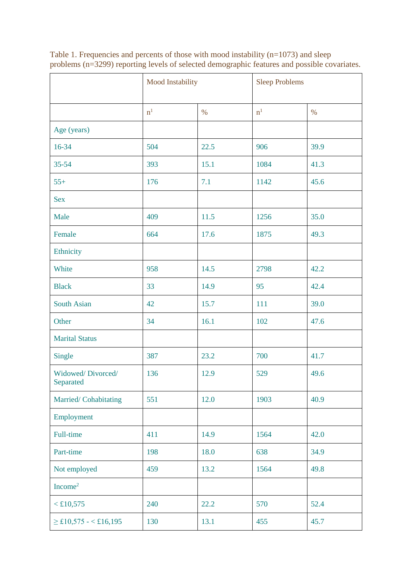|                                | Mood Instability |      |                | <b>Sleep Problems</b> |  |
|--------------------------------|------------------|------|----------------|-----------------------|--|
|                                | $\mathbf{n}^1$   | $\%$ | n <sup>1</sup> | $\%$                  |  |
| Age (years)                    |                  |      |                |                       |  |
| 16-34                          | 504              | 22.5 | 906            | 39.9                  |  |
| 35-54                          | 393              | 15.1 | 1084           | 41.3                  |  |
| $55+$                          | 176              | 7.1  | 1142           | 45.6                  |  |
| <b>Sex</b>                     |                  |      |                |                       |  |
| Male                           | 409              | 11.5 | 1256           | 35.0                  |  |
| Female                         | 664              | 17.6 | 1875           | 49.3                  |  |
| Ethnicity                      |                  |      |                |                       |  |
| White                          | 958              | 14.5 | 2798           | 42.2                  |  |
| <b>Black</b>                   | 33               | 14.9 | 95             | 42.4                  |  |
| South Asian                    | 42               | 15.7 | 111            | 39.0                  |  |
| Other                          | 34               | 16.1 | 102            | 47.6                  |  |
| <b>Marital Status</b>          |                  |      |                |                       |  |
| Single                         | 387              | 23.2 | 700            | 41.7                  |  |
| Widowed/Divorced/<br>Separated | 136              | 12.9 | 529            | 49.6                  |  |
| Married/Cohabitating           | 551              | 12.0 | 1903           | 40.9                  |  |
| Employment                     |                  |      |                |                       |  |
| Full-time                      | 411              | 14.9 | 1564           | 42.0                  |  |
| Part-time                      | 198              | 18.0 | 638            | 34.9                  |  |
| Not employed                   | 459              | 13.2 | 1564           | 49.8                  |  |
| Income <sup>2</sup>            |                  |      |                |                       |  |
| $<$ £10,575                    | 240              | 22.2 | 570            | 52.4                  |  |
| $\geq$ £10,575 - < £16,195     | 130              | 13.1 | 455            | 45.7                  |  |

Table 1. Frequencies and percents of those with mood instability (n=1073) and sleep problems (n=3299) reporting levels of selected demographic features and possible covariates.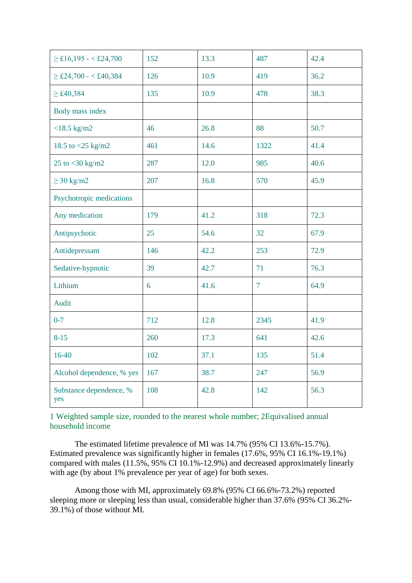| $\geq$ £16,195 - < £24,700     | 152 | 13.3 | 487            | 42.4 |
|--------------------------------|-----|------|----------------|------|
| $\geq$ £24,700 - < £40,384     | 126 | 10.9 | 419            | 36.2 |
| $\geq$ £40,384                 | 135 | 10.9 | 478            | 38.3 |
| Body mass index                |     |      |                |      |
| $<$ 18.5 kg/m2                 | 46  | 26.8 | 88             | 50.7 |
| 18.5 to <25 kg/m2              | 461 | 14.6 | 1322           | 41.4 |
| 25 to <30 kg/m2                | 287 | 12.0 | 985            | 40.6 |
| $\geq$ 30 kg/m2                | 207 | 16.8 | 570            | 45.9 |
| Psychotropic medications       |     |      |                |      |
| Any medication                 | 179 | 41.2 | 318            | 72.3 |
| Antipsychotic                  | 25  | 54.6 | 32             | 67.9 |
| Antidepressant                 | 146 | 42.2 | 253            | 72.9 |
| Sedative-hypnotic              | 39  | 42.7 | 71             | 76.3 |
| Lithium                        | 6   | 41.6 | $\overline{7}$ | 64.9 |
| Audit                          |     |      |                |      |
| $0 - 7$                        | 712 | 12.8 | 2345           | 41.9 |
| $8 - 15$                       | 260 | 17.3 | 641            | 42.6 |
| 16-40                          | 102 | 37.1 | 135            | 51.4 |
| Alcohol dependence, % yes      | 167 | 38.7 | 247            | 56.9 |
| Substance dependence, %<br>yes | 108 | 42.8 | 142            | 56.3 |

1 Weighted sample size, rounded to the nearest whole number; 2Equivalised annual household income

The estimated lifetime prevalence of MI was 14.7% (95% CI 13.6%-15.7%). Estimated prevalence was significantly higher in females (17.6%, 95% CI 16.1%-19.1%) compared with males (11.5%, 95% CI 10.1%-12.9%) and decreased approximately linearly with age (by about 1% prevalence per year of age) for both sexes.

Among those with MI, approximately 69.8% (95% CI 66.6%-73.2%) reported sleeping more or sleeping less than usual, considerable higher than 37.6% (95% CI 36.2%- 39.1%) of those without MI.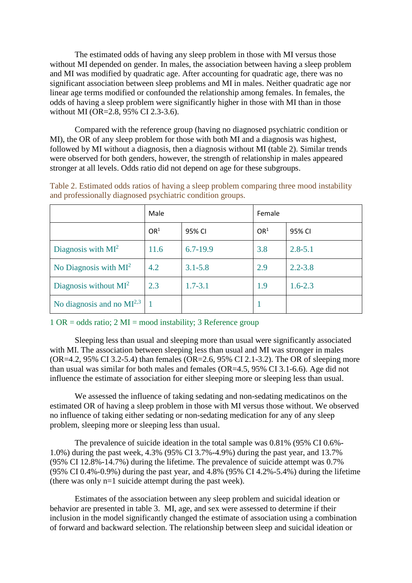The estimated odds of having any sleep problem in those with MI versus those without MI depended on gender. In males, the association between having a sleep problem and MI was modified by quadratic age. After accounting for quadratic age, there was no significant association between sleep problems and MI in males. Neither quadratic age nor linear age terms modified or confounded the relationship among females. In females, the odds of having a sleep problem were significantly higher in those with MI than in those without MI (OR=2.8, 95% CI 2.3-3.6).

Compared with the reference group (having no diagnosed psychiatric condition or MI), the OR of any sleep problem for those with both MI and a diagnosis was highest, followed by MI without a diagnosis, then a diagnosis without MI (table 2). Similar trends were observed for both genders, however, the strength of relationship in males appeared stronger at all levels. Odds ratio did not depend on age for these subgroups.

|                                | Male            |              | Female          |             |
|--------------------------------|-----------------|--------------|-----------------|-------------|
|                                | OR <sup>1</sup> | 95% CI       | OR <sup>1</sup> | 95% CI      |
| Diagnosis with $MI^2$          | 11.6            | $6.7 - 19.9$ | 3.8             | $2.8 - 5.1$ |
| No Diagnosis with $MI^2$       | 4.2             | $3.1 - 5.8$  | 2.9             | $2.2 - 3.8$ |
| Diagnosis without $MI^2$       | 2.3             | $1.7 - 3.1$  | 1.9             | $1.6 - 2.3$ |
| No diagnosis and no $MI^{2,3}$ |                 |              |                 |             |

Table 2. Estimated odds ratios of having a sleep problem comparing three mood instability and professionally diagnosed psychiatric condition groups.

1 OR = odds ratio; 2 MI = mood instability; 3 Reference group

Sleeping less than usual and sleeping more than usual were significantly associated with MI. The association between sleeping less than usual and MI was stronger in males (OR=4.2, 95% CI 3.2-5.4) than females (OR=2.6, 95% CI 2.1-3.2). The OR of sleeping more than usual was similar for both males and females (OR=4.5, 95% CI 3.1-6.6). Age did not influence the estimate of association for either sleeping more or sleeping less than usual.

We assessed the influence of taking sedating and non-sedating medicatinos on the estimated OR of having a sleep problem in those with MI versus those without. We observed no influence of taking either sedating or non-sedating medication for any of any sleep problem, sleeping more or sleeping less than usual.

The prevalence of suicide ideation in the total sample was 0.81% (95% CI 0.6%- 1.0%) during the past week, 4.3% (95% CI 3.7%-4.9%) during the past year, and 13.7% (95% CI 12.8%-14.7%) during the lifetime. The prevalence of suicide attempt was 0.7% (95% CI 0.4%-0.9%) during the past year, and 4.8% (95% CI 4.2%-5.4%) during the lifetime (there was only n=1 suicide attempt during the past week).

Estimates of the association between any sleep problem and suicidal ideation or behavior are presented in table 3. MI, age, and sex were assessed to determine if their inclusion in the model significantly changed the estimate of association using a combination of forward and backward selection. The relationship between sleep and suicidal ideation or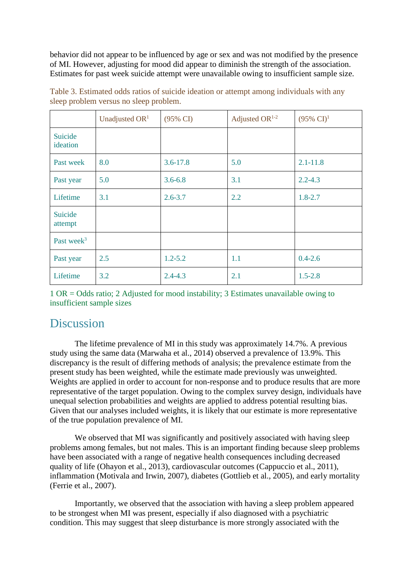behavior did not appear to be influenced by age or sex and was not modified by the presence of MI. However, adjusting for mood did appear to diminish the strength of the association. Estimates for past week suicide attempt were unavailable owing to insufficient sample size.

|                     | Unadjusted $OR1$ | $(95\% \text{ CI})$ | Adjusted OR $1-2$ | $(95\% \text{ CI})^1$ |
|---------------------|------------------|---------------------|-------------------|-----------------------|
| Suicide<br>ideation |                  |                     |                   |                       |
| Past week           | 8.0              | $3.6 - 17.8$        | 5.0               | $2.1 - 11.8$          |
| Past year           | 5.0              | $3.6 - 6.8$         | 3.1               | $2.2 - 4.3$           |
| Lifetime            | 3.1              | $2.6 - 3.7$         | 2.2               | $1.8 - 2.7$           |
| Suicide<br>attempt  |                  |                     |                   |                       |
| Past week $3$       |                  |                     |                   |                       |
| Past year           | 2.5              | $1.2 - 5.2$         | 1.1               | $0.4 - 2.6$           |
| Lifetime            | 3.2              | $2.4 - 4.3$         | 2.1               | $1.5 - 2.8$           |

Table 3. Estimated odds ratios of suicide ideation or attempt among individuals with any sleep problem versus no sleep problem.

1 OR = Odds ratio; 2 Adjusted for mood instability; 3 Estimates unavailable owing to insufficient sample sizes

# **Discussion**

The lifetime prevalence of MI in this study was approximately 14.7%. A previous study using the same data (Marwaha et al., 2014) observed a prevalence of 13.9%. This discrepancy is the result of differing methods of analysis; the prevalence estimate from the present study has been weighted, while the estimate made previously was unweighted. Weights are applied in order to account for non-response and to produce results that are more representative of the target population. Owing to the complex survey design, individuals have unequal selection probabilities and weights are applied to address potential resulting bias. Given that our analyses included weights, it is likely that our estimate is more representative of the true population prevalence of MI.

We observed that MI was significantly and positively associated with having sleep problems among females, but not males. This is an important finding because sleep problems have been associated with a range of negative health consequences including decreased quality of life (Ohayon et al., 2013), cardiovascular outcomes (Cappuccio et al., 2011), inflammation (Motivala and Irwin, 2007), diabetes (Gottlieb et al., 2005), and early mortality (Ferrie et al., 2007).

Importantly, we observed that the association with having a sleep problem appeared to be strongest when MI was present, especially if also diagnosed with a psychiatric condition. This may suggest that sleep disturbance is more strongly associated with the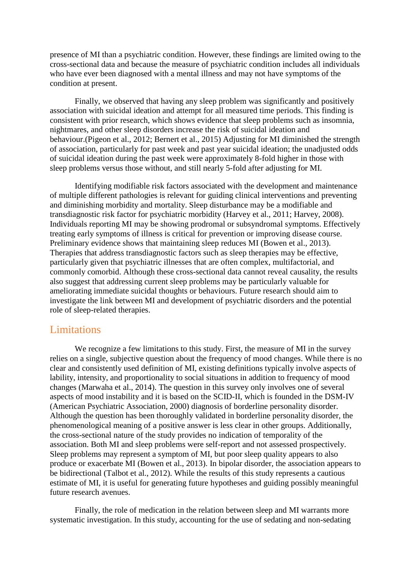presence of MI than a psychiatric condition. However, these findings are limited owing to the cross-sectional data and because the measure of psychiatric condition includes all individuals who have ever been diagnosed with a mental illness and may not have symptoms of the condition at present.

Finally, we observed that having any sleep problem was significantly and positively association with suicidal ideation and attempt for all measured time periods. This finding is consistent with prior research, which shows evidence that sleep problems such as insomnia, nightmares, and other sleep disorders increase the risk of suicidal ideation and behaviour.(Pigeon et al., 2012; Bernert et al., 2015) Adjusting for MI diminished the strength of association, particularly for past week and past year suicidal ideation; the unadjusted odds of suicidal ideation during the past week were approximately 8-fold higher in those with sleep problems versus those without, and still nearly 5-fold after adjusting for MI.

Identifying modifiable risk factors associated with the development and maintenance of multiple different pathologies is relevant for guiding clinical interventions and preventing and diminishing morbidity and mortality. Sleep disturbance may be a modifiable and transdiagnostic risk factor for psychiatric morbidity (Harvey et al., 2011; Harvey, 2008). Individuals reporting MI may be showing prodromal or subsyndromal symptoms. Effectively treating early symptoms of illness is critical for prevention or improving disease course. Preliminary evidence shows that maintaining sleep reduces MI (Bowen et al., 2013). Therapies that address transdiagnostic factors such as sleep therapies may be effective, particularly given that psychiatric illnesses that are often complex, multifactorial, and commonly comorbid. Although these cross-sectional data cannot reveal causality, the results also suggest that addressing current sleep problems may be particularly valuable for ameliorating immediate suicidal thoughts or behaviours. Future research should aim to investigate the link between MI and development of psychiatric disorders and the potential role of sleep-related therapies.

#### **Limitations**

We recognize a few limitations to this study. First, the measure of MI in the survey relies on a single, subjective question about the frequency of mood changes. While there is no clear and consistently used definition of MI, existing definitions typically involve aspects of lability, intensity, and proportionality to social situations in addition to frequency of mood changes (Marwaha et al., 2014). The question in this survey only involves one of several aspects of mood instability and it is based on the SCID-II, which is founded in the DSM-IV (American Psychiatric Association, 2000) diagnosis of borderline personality disorder. Although the question has been thoroughly validated in borderline personality disorder, the phenomenological meaning of a positive answer is less clear in other groups. Additionally, the cross-sectional nature of the study provides no indication of temporality of the association. Both MI and sleep problems were self-report and not assessed prospectively. Sleep problems may represent a symptom of MI, but poor sleep quality appears to also produce or exacerbate MI (Bowen et al., 2013). In bipolar disorder, the association appears to be bidirectional (Talbot et al., 2012). While the results of this study represents a cautious estimate of MI, it is useful for generating future hypotheses and guiding possibly meaningful future research avenues.

Finally, the role of medication in the relation between sleep and MI warrants more systematic investigation. In this study, accounting for the use of sedating and non-sedating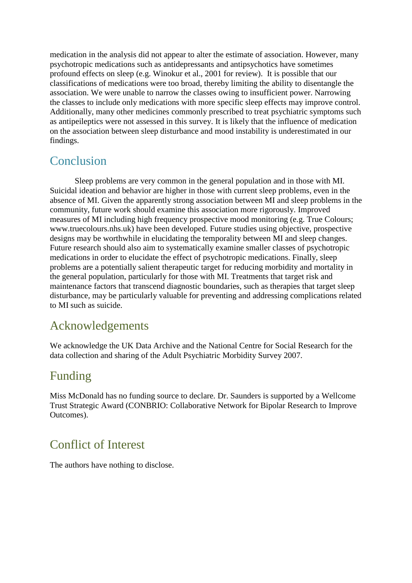medication in the analysis did not appear to alter the estimate of association. However, many psychotropic medications such as antidepressants and antipsychotics have sometimes profound effects on sleep (e.g. Winokur et al., 2001 for review). It is possible that our classifications of medications were too broad, thereby limiting the ability to disentangle the association. We were unable to narrow the classes owing to insufficient power. Narrowing the classes to include only medications with more specific sleep effects may improve control. Additionally, many other medicines commonly prescribed to treat psychiatric symptoms such as antipeileptics were not assessed in this survey. It is likely that the influence of medication on the association between sleep disturbance and mood instability is underestimated in our findings.

# Conclusion

Sleep problems are very common in the general population and in those with MI. Suicidal ideation and behavior are higher in those with current sleep problems, even in the absence of MI. Given the apparently strong association between MI and sleep problems in the community, future work should examine this association more rigorously. Improved measures of MI including high frequency prospective mood monitoring (e.g. True Colours; www.truecolours.nhs.uk) have been developed. Future studies using objective, prospective designs may be worthwhile in elucidating the temporality between MI and sleep changes. Future research should also aim to systematically examine smaller classes of psychotropic medications in order to elucidate the effect of psychotropic medications. Finally, sleep problems are a potentially salient therapeutic target for reducing morbidity and mortality in the general population, particularly for those with MI. Treatments that target risk and maintenance factors that transcend diagnostic boundaries, such as therapies that target sleep disturbance, may be particularly valuable for preventing and addressing complications related to MI such as suicide.

# Acknowledgements

We acknowledge the UK Data Archive and the National Centre for Social Research for the data collection and sharing of the Adult Psychiatric Morbidity Survey 2007.

# Funding

Miss McDonald has no funding source to declare. Dr. Saunders is supported by a Wellcome Trust Strategic Award (CONBRIO: Collaborative Network for Bipolar Research to Improve Outcomes).

# Conflict of Interest

The authors have nothing to disclose.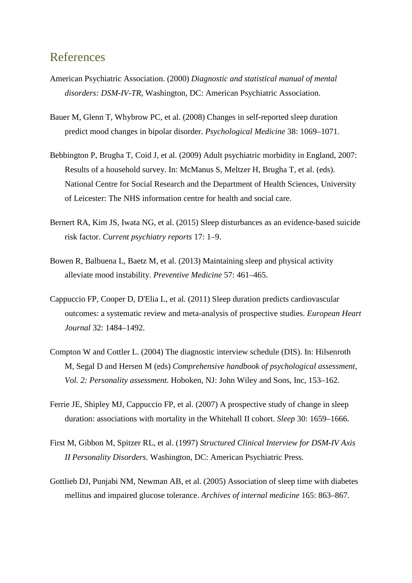### References

- American Psychiatric Association. (2000) *Diagnostic and statistical manual of mental disorders: DSM-IV-TR,* Washington, DC: American Psychiatric Association.
- Bauer M, Glenn T, Whybrow PC, et al. (2008) Changes in self-reported sleep duration predict mood changes in bipolar disorder. *Psychological Medicine* 38: 1069–1071.
- Bebbington P, Brugha T, Coid J, et al. (2009) Adult psychiatric morbidity in England, 2007: Results of a household survey. In: McManus S, Meltzer H, Brugha T, et al. (eds). National Centre for Social Research and the Department of Health Sciences, University of Leicester: The NHS information centre for health and social care.
- Bernert RA, Kim JS, Iwata NG, et al. (2015) Sleep disturbances as an evidence-based suicide risk factor. *Current psychiatry reports* 17: 1–9.
- Bowen R, Balbuena L, Baetz M, et al. (2013) Maintaining sleep and physical activity alleviate mood instability. *Preventive Medicine* 57: 461–465.
- Cappuccio FP, Cooper D, D'Elia L, et al. (2011) Sleep duration predicts cardiovascular outcomes: a systematic review and meta-analysis of prospective studies. *European Heart Journal* 32: 1484–1492.
- Compton W and Cottler L. (2004) The diagnostic interview schedule (DIS). In: Hilsenroth M, Segal D and Hersen M (eds) *Comprehensive handbook of psychological assessment, Vol. 2: Personality assessment.* Hoboken, NJ: John Wiley and Sons, Inc, 153–162.
- Ferrie JE, Shipley MJ, Cappuccio FP, et al. (2007) A prospective study of change in sleep duration: associations with mortality in the Whitehall II cohort. *Sleep* 30: 1659–1666.
- First M, Gibbon M, Spitzer RL, et al. (1997) *Structured Clinical Interview for DSM-IV Axis II Personality Disorders.* Washington, DC: American Psychiatric Press.
- Gottlieb DJ, Punjabi NM, Newman AB, et al. (2005) Association of sleep time with diabetes mellitus and impaired glucose tolerance. *Archives of internal medicine* 165: 863–867.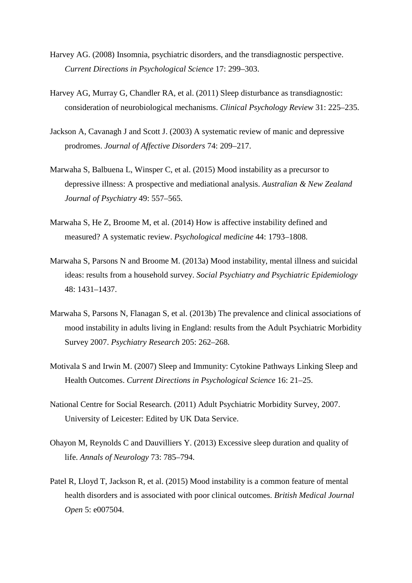- Harvey AG. (2008) Insomnia, psychiatric disorders, and the transdiagnostic perspective. *Current Directions in Psychological Science* 17: 299–303.
- Harvey AG, Murray G, Chandler RA, et al. (2011) Sleep disturbance as transdiagnostic: consideration of neurobiological mechanisms. *Clinical Psychology Review* 31: 225–235.
- Jackson A, Cavanagh J and Scott J. (2003) A systematic review of manic and depressive prodromes. *Journal of Affective Disorders* 74: 209–217.
- Marwaha S, Balbuena L, Winsper C, et al. (2015) Mood instability as a precursor to depressive illness: A prospective and mediational analysis. *Australian & New Zealand Journal of Psychiatry* 49: 557–565.
- Marwaha S, He Z, Broome M, et al. (2014) How is affective instability defined and measured? A systematic review. *Psychological medicine* 44: 1793–1808.
- Marwaha S, Parsons N and Broome M. (2013a) Mood instability, mental illness and suicidal ideas: results from a household survey. *Social Psychiatry and Psychiatric Epidemiology* 48: 1431–1437.
- Marwaha S, Parsons N, Flanagan S, et al. (2013b) The prevalence and clinical associations of mood instability in adults living in England: results from the Adult Psychiatric Morbidity Survey 2007. *Psychiatry Research* 205: 262–268.
- Motivala S and Irwin M. (2007) Sleep and Immunity: Cytokine Pathways Linking Sleep and Health Outcomes. *Current Directions in Psychological Science* 16: 21–25.
- National Centre for Social Research. (2011) Adult Psychiatric Morbidity Survey, 2007. University of Leicester: Edited by UK Data Service.
- Ohayon M, Reynolds C and Dauvilliers Y. (2013) Excessive sleep duration and quality of life. *Annals of Neurology* 73: 785–794.
- Patel R, Lloyd T, Jackson R, et al. (2015) Mood instability is a common feature of mental health disorders and is associated with poor clinical outcomes. *British Medical Journal Open* 5: e007504.